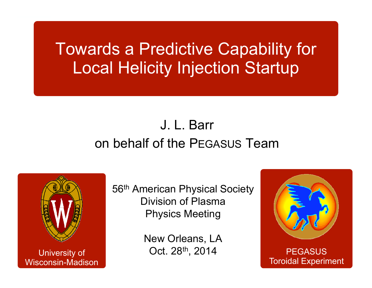## Towards a Predictive Capability for Local Helicity Injection Startup

## J. L. Barron behalf of the PEGASUS Team



University of Wisconsin-Madison 56<sup>th</sup> American Physical Society Division of PlasmaPhysics Meeting

> New Orleans, LA Oct. 28th, 2014

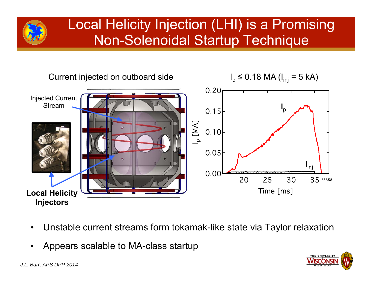

### Local Helicity Injection (LHI) is a Promising Non-Solenoidal Startup Technique



- •Unstable current streams form tokamak-like state via Taylor relaxation
- •Appears scalable to MA-class startup



*J.L. Barr, APS DPP 2014*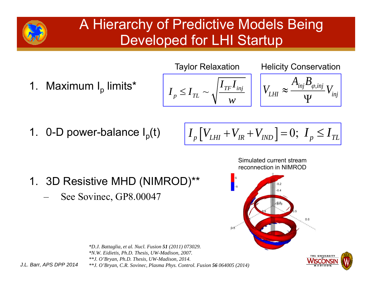### A Hierarchy of Predictive Models Being Developed for LHI Startup

Taylor Relaxation

Helicity Conservation

1. Maximum  $I_p$  limits\*

$$
I_p \leq I_{TL} \sim \sqrt{\frac{I_{TF} I_{inj}}{w}}
$$

$$
V_{LHI} \approx \frac{A_{inj} B_{\varphi,inj}}{\Psi} V_{inj}
$$

1. 0-D power-balance  $I_p(t)$ 

$$
I_p[V_{LHI} + V_{IR} + V_{IND}] = 0; I_p \le I_{TL}
$$

- 1. 3D Resistive MHD (NIMROD)\*\*
	- See Sovinec, GP8.00047





*\*D.J. Battaglia, et al. Nucl. Fusion 51 (2011) 073029. \*N.W. Eidietis, Ph.D. Thesis, UW-Madison, 2007. \*\*J. O'Bryan, Ph.D. Thesis, UW-Madison, 2014. \*\*J. O'Bryan, C.R. Sovinec, Plasma Phys. Control. Fusion 56 064005 (2014)*

*J.L. Barr, APS DPP 2014*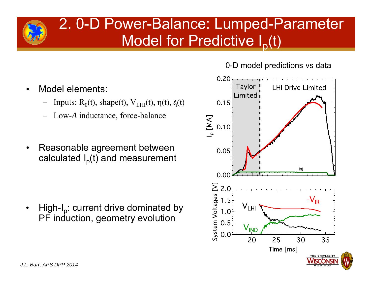### 2. 0-D Power-Balance: Lumped-Parameter Model for Predictive  $I_p(t)$

0-D model predictions vs data



- • Model elements:
	- Inputs:  $R_0(t)$ , shape(t),  $V_{LHI}(t)$ ,  $\eta(t)$ ,  $\ell_i(t)$
	- Low-*A* inductance, force-balance
- • Reasonable agreement between calculated  $I_p(t)$  and measurement

•High- $I_p$ : current drive dominated by PF induction, geometry evolution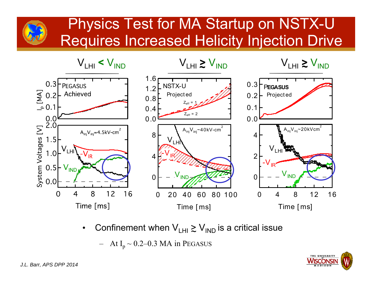### Physics Test for MA Startup on NSTX-U Requires Increased Helicity Injection Drive



•• Confinement when  $\mathsf{V}_{\mathsf{LHI}}$   $\gtrsim$   $\mathsf{V}_{\mathsf{IND}}$  is a critical issue

 $-$  At I<sub>p</sub> ~ 0.2–0.3 MA in PEGASUS

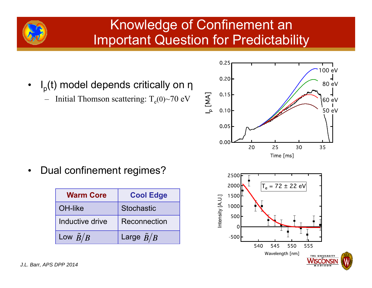### Knowledge of Confinement an Important Question for Predictability

- • $I_p(t)$  model depends critically on η
	- Initial Thomson scattering:  $T_e(0)$ ~70 eV



•Dual confinement regimes?

| <b>Warm Core</b>  | <b>Cool Edge</b>    |
|-------------------|---------------------|
| OH-like           | <b>Stochastic</b>   |
| Inductive drive   | Reconnection        |
| Low $\tilde{B}/B$ | Large $\tilde{B}/B$ |

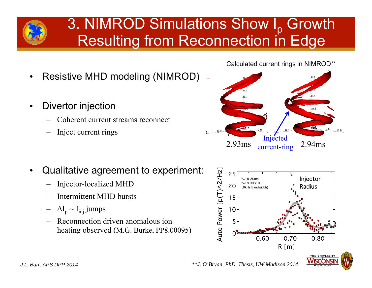# 3. NIMROD Simulations Show I<sub>p</sub> Growth<br>Resulting from Reconnection in Edge

- •Resistive MHD modeling (NIMROD)
- • Divertor injection
	- Coherent current streams reconnect
	- –Inject current rings





- • Qualitative agreement to experiment:
	- –Injector-localized MHD
	- Intermittent MHD bursts
	- $\Delta I_p \sim I_{\text{inj}}$  jumps
	- Reconnection driven anomalous ion heating observed (M.G. Burke, PP8.00095)

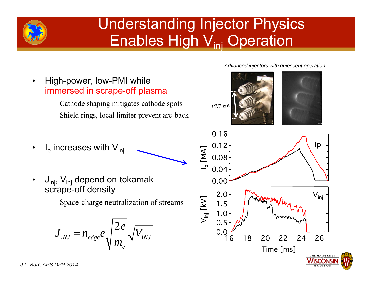

## Understanding Injector Physics Enables High V<sub>ini</sub> Operation

- • High-power, low-PMI while immersed in scrape-off plasma
	- Cathode shaping mitigates cathode spots
	- Shield rings, local limiter prevent arc-back
- • $I_p$  increases with  $V_{ini}$
- • $J_{inj}$ ,  $V_{inj}$  depend on tokamak scrape-off density
	- Space-charge neutralization of streams

$$
J_{\scriptscriptstyle INJ} = n_{\scriptscriptstyle edge} e \sqrt{\frac{2e}{m_{\scriptscriptstyle e}}} \sqrt{V_{\scriptscriptstyle INJ}}
$$

*Advanced injectors with quiescent operation*

17.7 cm



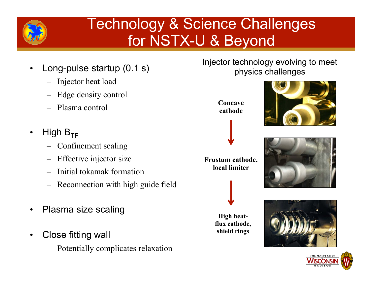

## Technology & Science Challenges for NSTX-U & Beyond

- • Long-pulse startup (0.1 s)
	- –Injector heat load
	- Edge density control
	- Plasma control
- •High  $B_{TF}$ 
	- Confinement scaling
	- –Effective injector size
	- –Initial tokamak formation
	- –Reconnection with high guide field
- •Plasma size scaling
- • Close fitting wall
	- Potentially complicates relaxation

Injector technology evolving to meet physics challenges

> **Concave cathode**







**High heatflux cathode, shield rings**



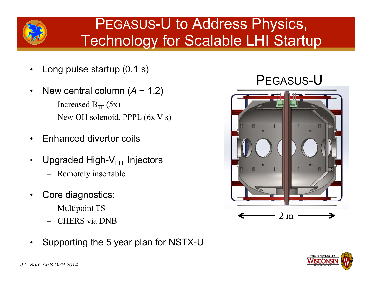

### PEGASUS-U to Address Physics, Technology for Scalable LHI Startup

- •Long pulse startup (0.1 s)
- •New central column  $(A \sim 1.2)$ 
	- Increased B<sub>TF</sub> (5x)
	- New OH solenoid, PPPL (6x V-s)
- •Enhanced divertor coils
- •• Upgraded High-V<sub>LHI</sub> Injectors
	- Remotely insertable
- • Core diagnostics:
	- Multipoint TS
	- CHERS via DNB
- •Supporting the 5 year plan for NSTX-U





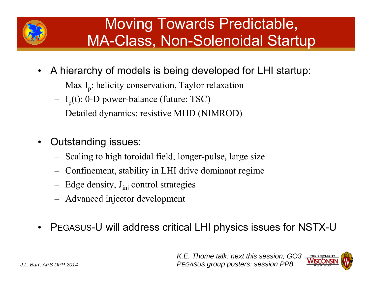

## Moving Towards Predictable, MA-Class, Non-Solenoidal Startup

- A hierarchy of models is being developed for LHI startup:
	- Max I <sup>p</sup>: helicity conservation, Taylor relaxation
	- I <sup>p</sup>(t): 0-D power-balance (future: TSC)
	- –Detailed dynamics: resistive MHD (NIMROD)
- • Outstanding issues:
	- Scaling to high toroidal field, longer-pulse, large size
	- Confinement, stability in LHI drive dominant regime
	- –Edge density,  $J_{\text{inj}}$  control strategies
	- –Advanced injector development
- •PEGASUS-U will address critical LHI physics issues for NSTX-U

*K.E. Thome talk: next this session, GO3* THE UNIVERSITY *PEGASUS group posters: session PP8*